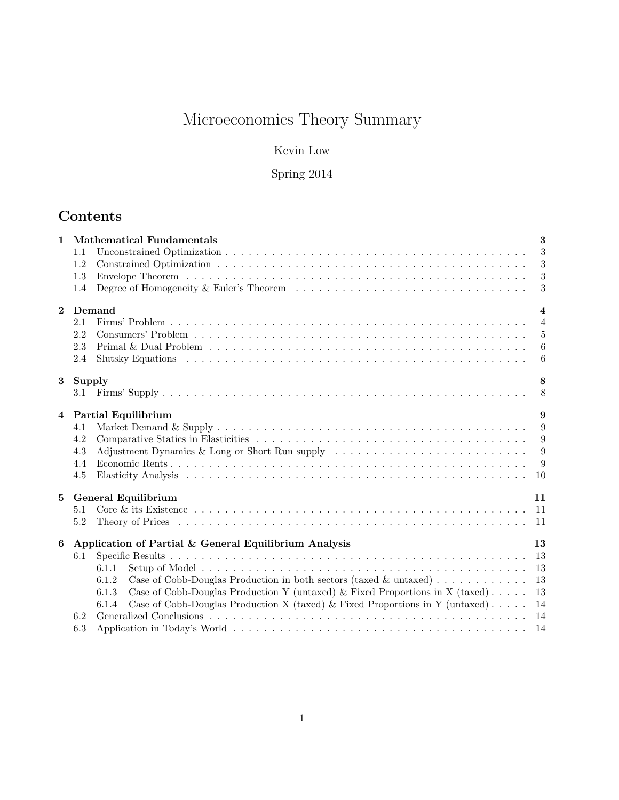# Microeconomics Theory Summary

Kevin Low

Spring 2014

# Contents

| $\mathbf{1}$   | <b>Mathematical Fundamentals</b>                                                                                                     |  | 3                |
|----------------|--------------------------------------------------------------------------------------------------------------------------------------|--|------------------|
|                | 1.1                                                                                                                                  |  | 3                |
|                | 1.2                                                                                                                                  |  | 3                |
|                | 1.3                                                                                                                                  |  | 3                |
|                | Degree of Homogeneity & Euler's Theorem<br>1.4                                                                                       |  | $\sqrt{3}$       |
| $\mathbf{2}$   | Demand                                                                                                                               |  | $\boldsymbol{4}$ |
|                | 2.1                                                                                                                                  |  | $\overline{4}$   |
|                | 2.2                                                                                                                                  |  | 5                |
|                | 2.3<br>Primal & Dual Problem $\dots \dots \dots \dots \dots \dots \dots \dots \dots \dots \dots \dots \dots \dots \dots \dots \dots$ |  | 6                |
|                | 2.4                                                                                                                                  |  | 6                |
| 3              | Supply                                                                                                                               |  | 8                |
|                |                                                                                                                                      |  | 8                |
| $\overline{4}$ | Partial Equilibrium                                                                                                                  |  | 9                |
|                | 4.1                                                                                                                                  |  | 9                |
|                | 4.2                                                                                                                                  |  | 9                |
|                | Adjustment Dynamics & Long or Short Run supply $\dots \dots \dots \dots \dots \dots \dots \dots \dots \dots$<br>4.3                  |  | 9                |
|                | 4.4                                                                                                                                  |  | 9                |
|                | 4.5                                                                                                                                  |  | <sup>10</sup>    |
| 5              | <b>General Equilibrium</b>                                                                                                           |  | 11               |
|                | 5.1                                                                                                                                  |  | -11              |
|                | 5.2                                                                                                                                  |  |                  |
| 6              | Application of Partial & General Equilibrium Analysis                                                                                |  | 13               |
|                | 6.1                                                                                                                                  |  | 13               |
|                | 6.1.1                                                                                                                                |  | 13               |
|                | Case of Cobb-Douglas Production in both sectors (taxed & untaxed)<br>6.1.2                                                           |  | 13               |
|                | Case of Cobb-Douglas Production Y (untaxed) & Fixed Proportions in X (taxed)<br>6.1.3                                                |  | 13               |
|                | Case of Cobb-Douglas Production X (taxed) & Fixed Proportions in Y (untaxed).<br>6.1.4                                               |  | 14               |
|                | 6.2                                                                                                                                  |  | 14               |
|                | 6.3                                                                                                                                  |  | 14               |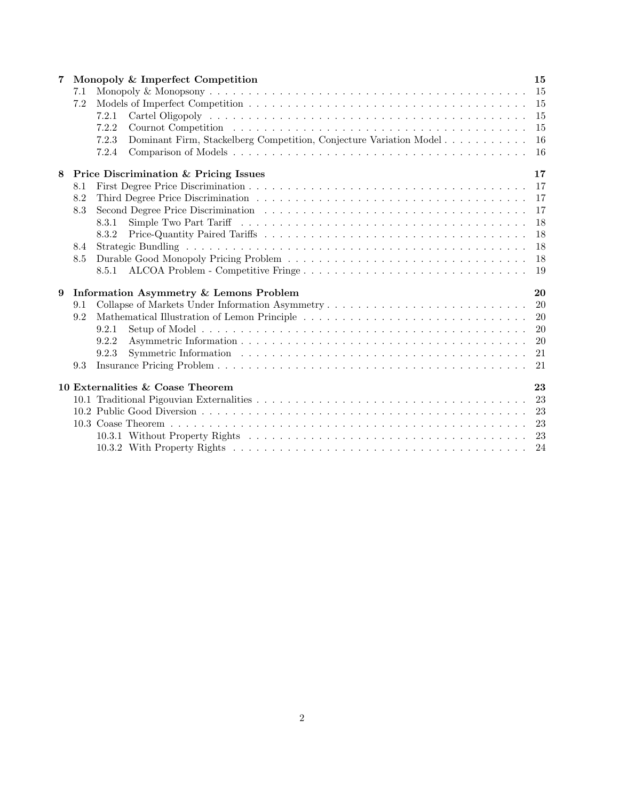| 7 |     | Monopoly & Imperfect Competition                                                                                       |     |  |  |  |  |
|---|-----|------------------------------------------------------------------------------------------------------------------------|-----|--|--|--|--|
|   | 7.1 |                                                                                                                        | 15  |  |  |  |  |
|   | 7.2 |                                                                                                                        | 15  |  |  |  |  |
|   |     | 7.2.1                                                                                                                  | 15  |  |  |  |  |
|   |     | 7.2.2                                                                                                                  | 15  |  |  |  |  |
|   |     | 7.2.3<br>Dominant Firm, Stackelberg Competition, Conjecture Variation Model                                            | 16  |  |  |  |  |
|   |     | 7.2.4                                                                                                                  | -16 |  |  |  |  |
| 8 |     | Price Discrimination & Pricing Issues                                                                                  | 17  |  |  |  |  |
|   | 8.1 |                                                                                                                        | 17  |  |  |  |  |
|   | 8.2 |                                                                                                                        | 17  |  |  |  |  |
|   | 8.3 |                                                                                                                        | 17  |  |  |  |  |
|   |     | 8.3.1                                                                                                                  | 18  |  |  |  |  |
|   |     | 8.3.2                                                                                                                  | 18  |  |  |  |  |
|   | 8.4 |                                                                                                                        | 18  |  |  |  |  |
|   | 8.5 |                                                                                                                        | 18  |  |  |  |  |
|   |     | ALCOA Problem - Competitive Fringe<br>8.5.1                                                                            | 19  |  |  |  |  |
| 9 |     | Information Asymmetry & Lemons Problem                                                                                 | 20  |  |  |  |  |
|   | 9.1 |                                                                                                                        | 20  |  |  |  |  |
|   | 9.2 | Mathematical Illustration of Lemon Principle $\dots \dots \dots \dots \dots \dots \dots \dots \dots \dots \dots \dots$ | 20  |  |  |  |  |
|   |     | 9.2.1                                                                                                                  | 20  |  |  |  |  |
|   |     | 9.2.2                                                                                                                  | 20  |  |  |  |  |
|   |     | 9.2.3                                                                                                                  | 21  |  |  |  |  |
|   | 9.3 |                                                                                                                        | 21  |  |  |  |  |
|   |     | 10 Externalities & Coase Theorem                                                                                       | 23  |  |  |  |  |
|   |     |                                                                                                                        | 23  |  |  |  |  |
|   |     |                                                                                                                        | 23  |  |  |  |  |
|   |     |                                                                                                                        | 23  |  |  |  |  |
|   |     |                                                                                                                        | 23  |  |  |  |  |
|   |     |                                                                                                                        |     |  |  |  |  |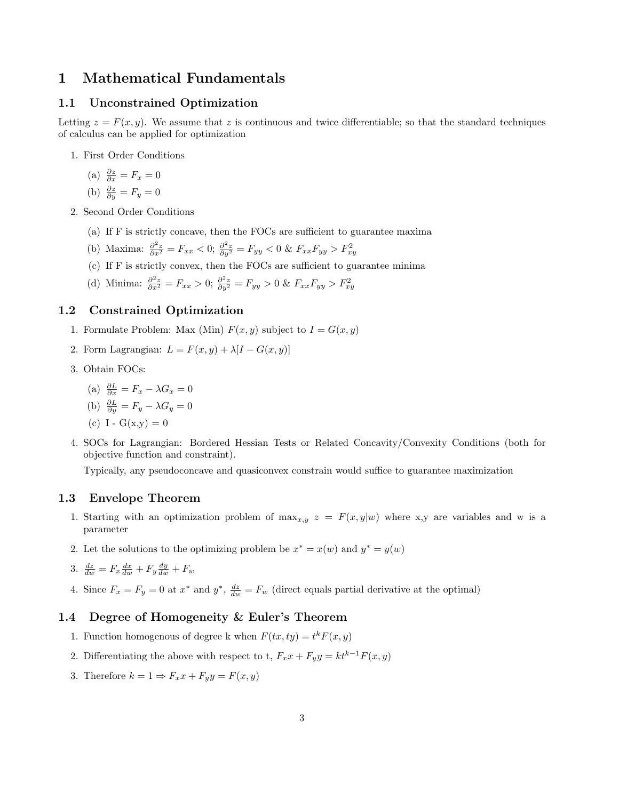# 1 Mathematical Fundamentals

#### 1.1 Unconstrained Optimization

Letting  $z = F(x, y)$ . We assume that z is continuous and twice differentiable; so that the standard techniques of calculus can be applied for optimization

1. First Order Conditions

(a) 
$$
\frac{\partial z}{\partial x} = F_x = 0
$$

(b) 
$$
\frac{\partial z}{\partial y} = F_y = 0
$$

- 2. Second Order Conditions
	- (a) If F is strictly concave, then the FOCs are sufficient to guarantee maxima
	- (b) Maxima:  $\frac{\partial^2 z}{\partial x^2} = F_{xx} < 0; \frac{\partial^2 z}{\partial y^2} = F_{yy} < 0 \& F_{xx} F_{yy} > F_{xy}^2$
	- (c) If F is strictly convex, then the FOCs are sufficient to guarantee minima
	- (d) Minima:  $\frac{\partial^2 z}{\partial x^2} = F_{xx} > 0$ ;  $\frac{\partial^2 z}{\partial y^2} = F_{yy} > 0$  &  $F_{xx}F_{yy} > F_{xy}^2$

# 1.2 Constrained Optimization

- 1. Formulate Problem: Max (Min)  $F(x, y)$  subject to  $I = G(x, y)$
- 2. Form Lagrangian:  $L = F(x, y) + \lambda[I G(x, y)]$
- 3. Obtain FOCs:

(a) 
$$
\frac{\partial L}{\partial x} = F_x - \lambda G_x = 0
$$

(b) 
$$
\frac{\partial L}{\partial y} = F_y - \lambda G_y = 0
$$

(c) I - 
$$
G(x,y) = 0
$$

4. SOCs for Lagrangian: Bordered Hessian Tests or Related Concavity/Convexity Conditions (both for objective function and constraint).

Typically, any pseudoconcave and quasiconvex constrain would suffice to guarantee maximization

#### 1.3 Envelope Theorem

- 1. Starting with an optimization problem of  $\max_{x,y} z = F(x,y|w)$  where x,y are variables and w is a parameter
- 2. Let the solutions to the optimizing problem be  $x^* = x(w)$  and  $y^* = y(w)$

$$
3. \frac{dz}{dw} = F_x \frac{dx}{dw} + F_y \frac{dy}{dw} + F_w
$$

4. Since  $F_x = F_y = 0$  at  $x^*$  and  $y^*$ ,  $\frac{dz}{dw} = F_w$  (direct equals partial derivative at the optimal)

### 1.4 Degree of Homogeneity & Euler's Theorem

- 1. Function homogenous of degree k when  $F(tx, ty) = t^k F(x, y)$
- 2. Differentiating the above with respect to t,  $F_x x + F_y y = k t^{k-1} F(x, y)$
- 3. Therefore  $k = 1 \Rightarrow F_x x + F_y y = F(x, y)$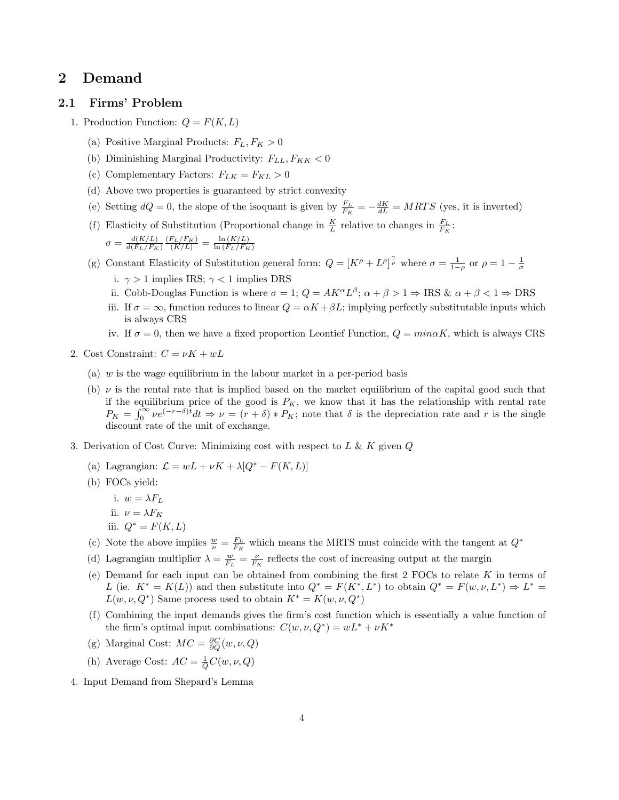# 2 Demand

#### 2.1 Firms' Problem

- 1. Production Function:  $Q = F(K, L)$ 
	- (a) Positive Marginal Products:  $F_L, F_K > 0$
	- (b) Diminishing Marginal Productivity:  $F_{LL}, F_{KK} < 0$
	- (c) Complementary Factors:  $F_{LK} = F_{KL} > 0$
	- (d) Above two properties is guaranteed by strict convexity
	- (e) Setting  $dQ = 0$ , the slope of the isoquant is given by  $\frac{F_L}{F_K} = -\frac{dK}{dL} = MRTS$  (yes, it is inverted)
	- (f) Elasticity of Substitution (Proportional change in  $\frac{K}{L}$  relative to changes in  $\frac{F_L}{F_K}$ .  $\sigma = \frac{d(K/L)}{d(F_L/F_R)}$  $d(F_L/F_K)$  $\frac{\left(F_L/F_K\right)}{\left(K/L\right)} = \frac{\ln\left(K/L\right)}{\ln\left(F_L/F_K\right)}$  $\ln{(F_L/F_K)}$
	- (g) Constant Elasticity of Substitution general form:  $Q = [K^{\rho} + L^{\rho}]^{\frac{\gamma}{\rho}}$  where  $\sigma = \frac{1}{1-\rho}$  or  $\rho = 1 \frac{1}{\sigma}$ 
		- i.  $\gamma > 1$  implies IRS;  $\gamma < 1$  implies DRS
		- ii. Cobb-Douglas Function is where  $\sigma = 1$ ;  $Q = AK^{\alpha}L^{\beta}$ ;  $\alpha + \beta > 1 \Rightarrow \text{IRS} \& \alpha + \beta < 1 \Rightarrow \text{DRS}$
		- iii. If  $\sigma = \infty$ , function reduces to linear  $Q = \alpha K + \beta L$ ; implying perfectly substitutable inputs which is always CRS
		- iv. If  $\sigma = 0$ , then we have a fixed proportion Leontief Function,  $Q = min\alpha K$ , which is always CRS
- 2. Cost Constraint:  $C = \nu K + wL$ 
	- (a)  $w$  is the wage equilibrium in the labour market in a per-period basis
	- (b)  $\nu$  is the rental rate that is implied based on the market equilibrium of the capital good such that if the equilibrium price of the good is  $P_K$ , we know that it has the relationship with rental rate  $P_K = \int_0^\infty v e^{(-r-\delta)t} dt \Rightarrow v = (r+\delta) * P_K$ ; note that  $\delta$  is the depreciation rate and r is the single discount rate of the unit of exchange.
- 3. Derivation of Cost Curve: Minimizing cost with respect to  $L \& K$  given  $Q$ 
	- (a) Lagrangian:  $\mathcal{L} = wL + \nu K + \lambda [Q^* F(K, L)]$
	- (b) FOCs yield:
		- i.  $w = \lambda F_L$
		- ii.  $\nu = \lambda F_K$
		- iii.  $Q^* = F(K, L)$
	- (c) Note the above implies  $\frac{w}{\nu} = \frac{F_L}{F_K}$  which means the MRTS must coincide with the tangent at  $Q^*$
	- (d) Lagrangian multiplier  $\lambda = \frac{w}{F_L} = \frac{\nu}{F_K}$  reflects the cost of increasing output at the margin
	- (e) Demand for each input can be obtained from combining the first  $2$  FOCs to relate K in terms of L (ie.  $K^* = K(L)$ ) and then substitute into  $Q^* = F(K^*, L^*)$  to obtain  $Q^* = F(w, \nu, L^*) \Rightarrow L^* =$  $L(w, \nu, Q^*)$  Same process used to obtain  $K^* = K(w, \nu, Q^*)$
	- (f) Combining the input demands gives the firm's cost function which is essentially a value function of the firm's optimal input combinations:  $C(w, \nu, Q^*) = wL^* + \nu K^*$
	- (g) Marginal Cost:  $MC = \frac{\partial C}{\partial Q}(w, \nu, Q)$
	- (h) Average Cost:  $AC = \frac{1}{Q}C(w, \nu, Q)$
- 4. Input Demand from Shepard's Lemma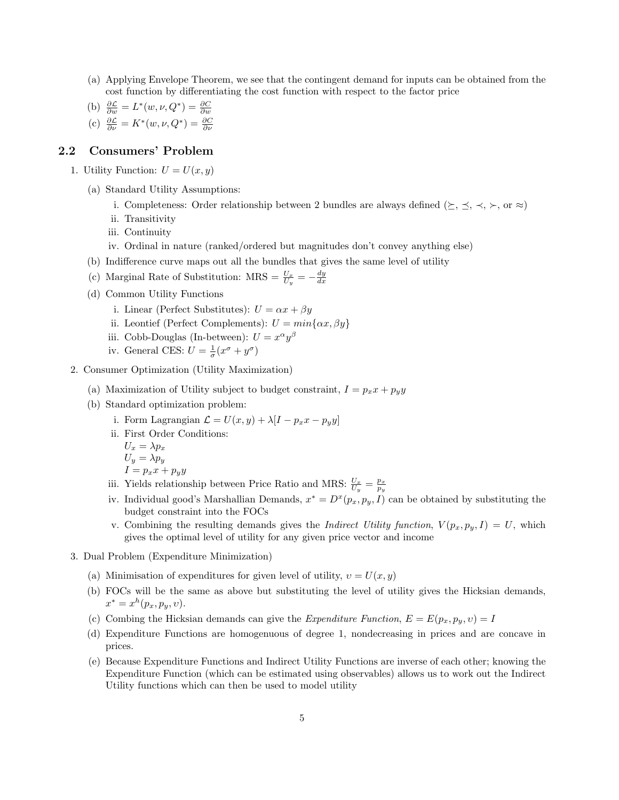- (a) Applying Envelope Theorem, we see that the contingent demand for inputs can be obtained from the cost function by differentiating the cost function with respect to the factor price
- (b)  $\frac{\partial \mathcal{L}}{\partial w} = L^*(w, \nu, Q^*) = \frac{\partial C}{\partial w}$
- (c)  $\frac{\partial \mathcal{L}}{\partial \nu} = K^*(w, \nu, Q^*) = \frac{\partial C}{\partial \nu}$

### 2.2 Consumers' Problem

1. Utility Function:  $U = U(x, y)$ 

- (a) Standard Utility Assumptions:
	- i. Completeness: Order relationship between 2 bundles are always defined ( $\succeq$ ,  $\preceq$ ,  $\prec$ ,  $\succ$ , or  $\approx$ )
	- ii. Transitivity
	- iii. Continuity
	- iv. Ordinal in nature (ranked/ordered but magnitudes don't convey anything else)
- (b) Indifference curve maps out all the bundles that gives the same level of utility
- (c) Marginal Rate of Substitution: MRS =  $\frac{U_x}{U_y} = -\frac{dy}{dx}$
- (d) Common Utility Functions
	- i. Linear (Perfect Substitutes):  $U = \alpha x + \beta y$
	- ii. Leontief (Perfect Complements):  $U = min\{\alpha x, \beta y\}$
	- iii. Cobb-Douglas (In-between):  $U = x^{\alpha}y^{\beta}$
	- iv. General CES:  $U = \frac{1}{\sigma}(x^{\sigma} + y^{\sigma})$
- 2. Consumer Optimization (Utility Maximization)
	- (a) Maximization of Utility subject to budget constraint,  $I = p_x x + p_y y$
	- (b) Standard optimization problem:
		- i. Form Lagrangian  $\mathcal{L} = U(x, y) + \lambda[I p_x x p_y y]$
		- ii. First Order Conditions:
			- $U_x = \lambda p_x$  $U_y = \lambda p_y$  $I = p_x x + p_y y$
		- iii. Yields relationship between Price Ratio and MRS:  $\frac{U_x}{U_y} = \frac{p_x}{p_y}$
		- iv. Individual good's Marshallian Demands,  $x^* = D^x(p_x, p_y, I)$  can be obtained by substituting the budget constraint into the FOCs
		- v. Combining the resulting demands gives the *Indirect Utility function*,  $V(p_x, p_y, I) = U$ , which gives the optimal level of utility for any given price vector and income
- 3. Dual Problem (Expenditure Minimization)
	- (a) Minimisation of expenditures for given level of utility,  $v = U(x, y)$
	- (b) FOCs will be the same as above but substituting the level of utility gives the Hicksian demands,  $x^* = x^h(p_x, p_y, v).$
	- (c) Combing the Hicksian demands can give the Expenditure Function,  $E = E(p_x, p_y, v) = I$
	- (d) Expenditure Functions are homogenuous of degree 1, nondecreasing in prices and are concave in prices.
	- (e) Because Expenditure Functions and Indirect Utility Functions are inverse of each other; knowing the Expenditure Function (which can be estimated using observables) allows us to work out the Indirect Utility functions which can then be used to model utility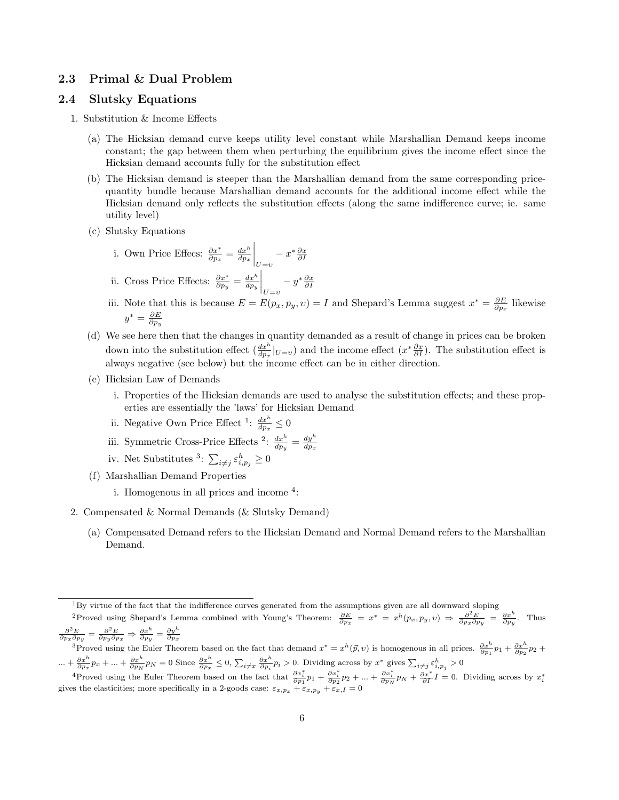#### 2.3 Primal & Dual Problem

#### 2.4 Slutsky Equations

- 1. Substitution & Income Effects
	- (a) The Hicksian demand curve keeps utility level constant while Marshallian Demand keeps income constant; the gap between them when perturbing the equilibrium gives the income effect since the Hicksian demand accounts fully for the substitution effect
	- (b) The Hicksian demand is steeper than the Marshallian demand from the same corresponding pricequantity bundle because Marshallian demand accounts for the additional income effect while the Hicksian demand only reflects the substitution effects (along the same indifference curve; ie. same utility level)
	- (c) Slutsky Equations
		- i. Own Price Effecs:  $\frac{\partial x^*}{\partial p_x} = \frac{dx^h}{dp_x}$  $\bigg|_{U=v}$  $-x^*\frac{\partial x}{\partial I}$ ii. Cross Price Effects:  $\frac{\partial x^*}{\partial p_y} = \frac{dx^h}{dp_y}$  $\bigg|_{U=v}$  $-y^* \frac{\partial x}{\partial I}$
		- iii. Note that this is because  $E = E(p_x, p_y, v) = I$  and Shepard's Lemma suggest  $x^* = \frac{\partial E}{\partial p_x}$  likewise  $y^*=\frac{\partial E}{\partial p_y}$
	- (d) We see here then that the changes in quantity demanded as a result of change in prices can be broken down into the substitution effect  $(\frac{dx^h}{dp_x}|_{U=v})$  and the income effect  $(x*\frac{\partial x}{\partial I})$ . The substitution effect is always negative (see below) but the income effect can be in either direction.
	- (e) Hicksian Law of Demands
		- i. Properties of the Hicksian demands are used to analyse the substitution effects; and these properties are essentially the 'laws' for Hicksian Demand
		- ii. Negative Own Price Effect <sup>1</sup>:  $\frac{dx^h}{dp_x} \leq 0$
		- iii. Symmetric Cross-Price Effects <sup>2</sup>:  $\frac{dx^h}{dp_y} = \frac{dy^h}{dp_x}$  $dp_x$
		- iv. Net Substitutes <sup>3</sup>:  $\sum_{i \neq j} \varepsilon_{i,p_j}^h \ge 0$
	- (f) Marshallian Demand Properties
		- i. Homogenous in all prices and income <sup>4</sup>:
- 2. Compensated & Normal Demands (& Slutsky Demand)
	- (a) Compensated Demand refers to the Hicksian Demand and Normal Demand refers to the Marshallian Demand.

<sup>3</sup>Proved using the Euler Theorem based on the fact that demand  $x^* = x^h(\vec{p}, v)$  is homogenous in all prices.  $\frac{\partial x^h}{\partial p_1} p_1 + \frac{\partial x^h}{\partial p_2} p_2 + \frac{\partial x^h}{\partial p_3} p_4$  $... + \frac{\partial x^h}{\partial p_x} p_x + ... + \frac{\partial x^h}{\partial p_N} p_N = 0$  Since  $\frac{\partial x^h}{\partial p_x} \le 0$ ,  $\sum_{i \neq x} \frac{\partial x^h}{\partial p_i} p_i > 0$ . Dividing across by  $x^*$  gives  $\sum_{i \neq j} \varepsilon_{i,p_j}^h > 0$ 

<sup>4</sup>Proved using the Euler Theorem based on the fact that  $\frac{\partial x_i^*}{\partial p_1} p_1 + \frac{\partial x_i^*}{\partial p_2} p_2 + ... + \frac{\partial x_i^*}{\partial p_N} p_N + \frac{\partial x_i^*}{\partial I} I = 0$ . Dividing across by  $x_i^*$  gives the elasticities; more specifically in a 2-goods case:

 $1By$  virtue of the fact that the indifference curves generated from the assumptions given are all downward sloping

<sup>&</sup>lt;sup>2</sup>Proved using Shepard's Lemma combined with Young's Theorem:  $\frac{\partial E}{\partial p_x} = x^* = x^h(p_x, p_y, v) \Rightarrow \frac{\partial^2 E}{\partial p_x \partial p_y} = \frac{\partial x^h}{\partial p_y}$ . Thus  $\frac{\partial^2 E}{\partial p_x \partial p_y} = \frac{\partial^2 E}{\partial p_y \partial p_x} \Rightarrow \frac{\partial x^h}{\partial p_y} = \frac{\partial y^h}{\partial p_x}$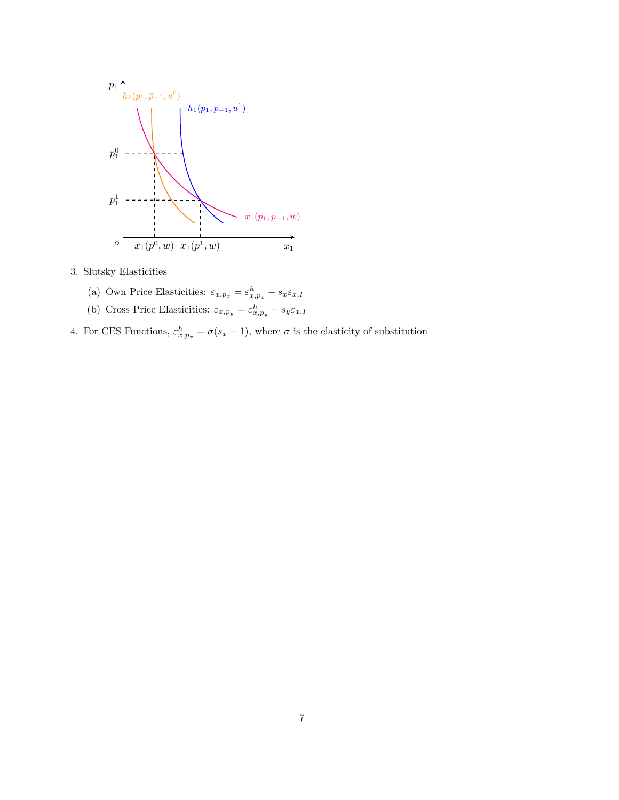

3. Slutsky Elasticities

- (a) Own Price Elasticities:  $\varepsilon_{x,p_x} = \varepsilon_{x,p_x}^h s_x \varepsilon_{x,I}$
- (b) Cross Price Elasticities:  $\varepsilon_{x, p_y} = \varepsilon_{x, p_y}^h s_y \varepsilon_{x, I}$
- 4. For CES Functions,  $\varepsilon_{x,p_x}^h = \sigma(s_x 1)$ , where  $\sigma$  is the elasticity of substitution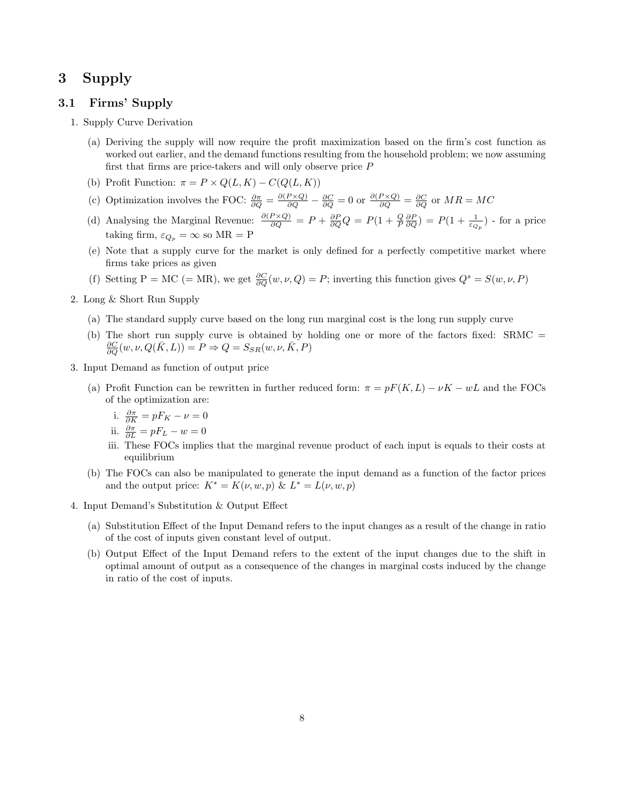# 3 Supply

#### 3.1 Firms' Supply

- 1. Supply Curve Derivation
	- (a) Deriving the supply will now require the profit maximization based on the firm's cost function as worked out earlier, and the demand functions resulting from the household problem; we now assuming first that firms are price-takers and will only observe price  $P$
	- (b) Profit Function:  $\pi = P \times Q(L, K) C(Q(L, K))$
	- (c) Optimization involves the FOC:  $\frac{\partial \pi}{\partial Q} = \frac{\partial (P \times Q)}{\partial Q} \frac{\partial C}{\partial Q} = 0$  or  $\frac{\partial (P \times Q)}{\partial Q} = \frac{\partial C}{\partial Q}$  or  $MR = MC$
	- (d) Analysing the Marginal Revenue:  $\frac{\partial (P \times Q)}{\partial Q} = P + \frac{\partial P}{\partial Q}Q = P(1 + \frac{Q}{P} \frac{\partial P}{\partial Q}) = P(1 + \frac{1}{\varepsilon_{Q_p}})$  for a price taking firm,  $\varepsilon_{Q_p} = \infty$  so MR = P
	- (e) Note that a supply curve for the market is only defined for a perfectly competitive market where firms take prices as given
	- (f) Setting P = MC (= MR), we get  $\frac{\partial C}{\partial Q}(w, \nu, Q) = P$ ; inverting this function gives  $Q^s = S(w, \nu, P)$
- 2. Long & Short Run Supply
	- (a) The standard supply curve based on the long run marginal cost is the long run supply curve
	- (b) The short run supply curve is obtained by holding one or more of the factors fixed: SRMC =  $\frac{\partial C}{\partial Q}(w,\nu,Q(\bar{K},L)) = P \Rightarrow Q = S_{SR}(w,\nu,\bar{K},P)$
- 3. Input Demand as function of output price
	- (a) Profit Function can be rewritten in further reduced form:  $\pi = pF(K, L) \nu K wL$  and the FOCs of the optimization are:
		- i.  $\frac{\partial \pi}{\partial K} = pF_K \nu = 0$
		- ii.  $\frac{\partial \pi}{\partial L} = pF_L w = 0$
		- iii. These FOCs implies that the marginal revenue product of each input is equals to their costs at equilibrium
	- (b) The FOCs can also be manipulated to generate the input demand as a function of the factor prices and the output price:  $K^* = K(\nu, w, p) \& L^* = L(\nu, w, p)$
- 4. Input Demand's Substitution & Output Effect
	- (a) Substitution Effect of the Input Demand refers to the input changes as a result of the change in ratio of the cost of inputs given constant level of output.
	- (b) Output Effect of the Input Demand refers to the extent of the input changes due to the shift in optimal amount of output as a consequence of the changes in marginal costs induced by the change in ratio of the cost of inputs.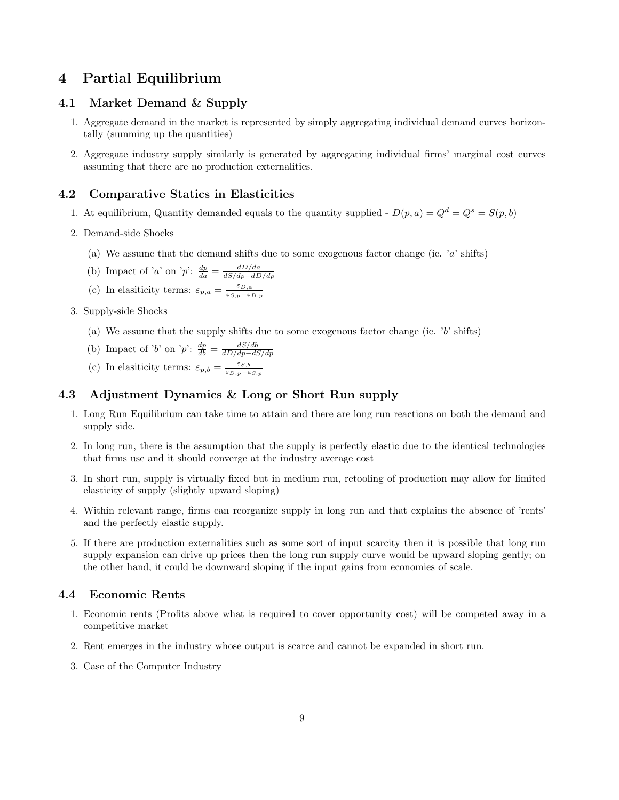# 4 Partial Equilibrium

#### 4.1 Market Demand & Supply

- 1. Aggregate demand in the market is represented by simply aggregating individual demand curves horizontally (summing up the quantities)
- 2. Aggregate industry supply similarly is generated by aggregating individual firms' marginal cost curves assuming that there are no production externalities.

#### 4.2 Comparative Statics in Elasticities

- 1. At equilibrium, Quantity demanded equals to the quantity supplied  $D(p, a) = Q<sup>d</sup> = Q<sup>s</sup> = S(p, b)$
- 2. Demand-side Shocks
	- (a) We assume that the demand shifts due to some exogenous factor change (ie.  $a'$  shifts)
	- (b) Impact of 'a' on 'p':  $\frac{dp}{da} = \frac{dD/da}{dS/dp dD}$ dS/dp−dD/dp
	- (c) In elasiticity terms:  $\varepsilon_{p,a} = \frac{\varepsilon_{D,a}}{\varepsilon_{S,p} \varepsilon}$  $\varepsilon_{S,p}-\varepsilon_{D,p}$
- 3. Supply-side Shocks
	- (a) We assume that the supply shifts due to some exogenous factor change (ie.  $b'$  shifts)
	- (b) Impact of 'b' on 'p':  $\frac{dp}{db} = \frac{dS/db}{dD/dp-dS}$ dD/dp−dS/dp
	- (c) In elasiticity terms:  $\varepsilon_{p,b} = \frac{\varepsilon_{S,b}}{\varepsilon_{D,p} \varepsilon}$  $\overline{\varepsilon_{D,p}-\varepsilon_{S,p}}$

### 4.3 Adjustment Dynamics & Long or Short Run supply

- 1. Long Run Equilibrium can take time to attain and there are long run reactions on both the demand and supply side.
- 2. In long run, there is the assumption that the supply is perfectly elastic due to the identical technologies that firms use and it should converge at the industry average cost
- 3. In short run, supply is virtually fixed but in medium run, retooling of production may allow for limited elasticity of supply (slightly upward sloping)
- 4. Within relevant range, firms can reorganize supply in long run and that explains the absence of 'rents' and the perfectly elastic supply.
- 5. If there are production externalities such as some sort of input scarcity then it is possible that long run supply expansion can drive up prices then the long run supply curve would be upward sloping gently; on the other hand, it could be downward sloping if the input gains from economies of scale.

### 4.4 Economic Rents

- 1. Economic rents (Profits above what is required to cover opportunity cost) will be competed away in a competitive market
- 2. Rent emerges in the industry whose output is scarce and cannot be expanded in short run.
- 3. Case of the Computer Industry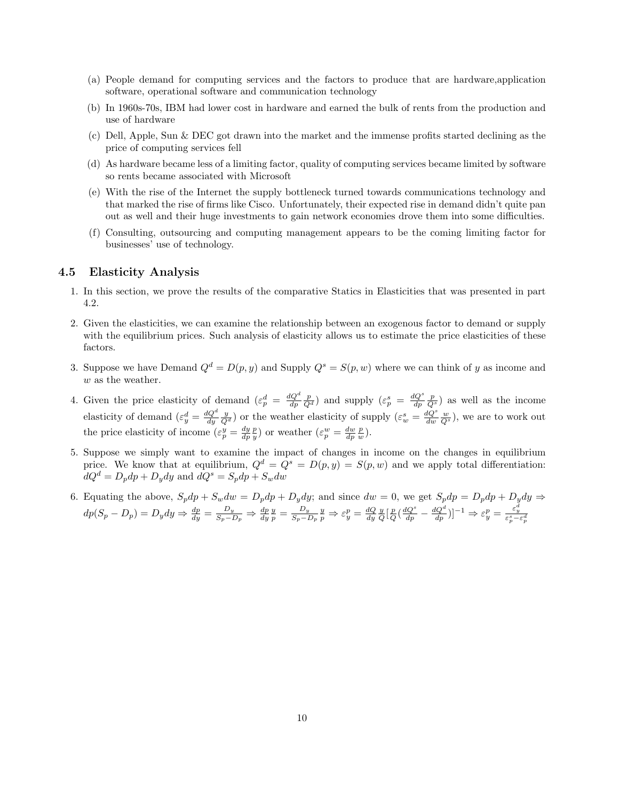- (a) People demand for computing services and the factors to produce that are hardware,application software, operational software and communication technology
- (b) In 1960s-70s, IBM had lower cost in hardware and earned the bulk of rents from the production and use of hardware
- (c) Dell, Apple, Sun & DEC got drawn into the market and the immense profits started declining as the price of computing services fell
- (d) As hardware became less of a limiting factor, quality of computing services became limited by software so rents became associated with Microsoft
- (e) With the rise of the Internet the supply bottleneck turned towards communications technology and that marked the rise of firms like Cisco. Unfortunately, their expected rise in demand didn't quite pan out as well and their huge investments to gain network economies drove them into some difficulties.
- (f) Consulting, outsourcing and computing management appears to be the coming limiting factor for businesses' use of technology.

#### 4.5 Elasticity Analysis

- 1. In this section, we prove the results of the comparative Statics in Elasticities that was presented in part 4.2.
- 2. Given the elasticities, we can examine the relationship between an exogenous factor to demand or supply with the equilibrium prices. Such analysis of elasticity allows us to estimate the price elasticities of these factors.
- 3. Suppose we have Demand  $Q^d = D(p, y)$  and Supply  $Q^s = S(p, w)$  where we can think of y as income and w as the weather.
- 4. Given the price elasticity of demand  $(\varepsilon_p^d = \frac{dQ^d}{dp} \frac{p}{Q^d})$  and supply  $(\varepsilon_p^s = \frac{dQ^s}{dp} \frac{p}{Q^s})$  as well as the income elasticity of demand  $(\varepsilon_y^d = \frac{dQ^d}{dy} \frac{y}{Q^d})$  or the weather elasticity of supply  $(\varepsilon_w^s = \frac{dQ^s}{dw} \frac{w}{Q^s})$ , we are to work out the price elasticity of income  $(\varepsilon_p^y = \frac{dy}{dp} \frac{p}{y})$  or weather  $(\varepsilon_p^w = \frac{dw}{dp} \frac{p}{w})$ .
- 5. Suppose we simply want to examine the impact of changes in income on the changes in equilibrium price. We know that at equilibrium,  $Q^d = Q^s = D(p, y) = S(p, w)$  and we apply total differentiation:  $dQ^d = D_p dp + D_y dy$  and  $dQ^s = S_p dp + S_w dw$
- 6. Equating the above,  $S_p dp + S_w dw = D_p dp + D_y dy$ ; and since  $dw = 0$ , we get  $S_p dp = D_p dp + D_y dy \Rightarrow$  $dp(S_p - D_p) = D_y dy \Rightarrow \frac{dp}{dy} = \frac{D_y}{S_p - D_p} \Rightarrow \frac{dp}{dy} \frac{y}{p} = \frac{D_y}{S_p - D_p}$  $\frac{D_y}{S_p - D_p} \frac{y}{p} \Rightarrow \varepsilon_y^p = \frac{dQ}{dy} \frac{y}{Q} \left[ \frac{p}{Q} \left( \frac{dQ^s}{dp} - \frac{dQ^d}{dp} \right) \right]^{-1} \Rightarrow \varepsilon_y^p = \frac{\varepsilon_y^d}{\varepsilon_p^s - \varepsilon_p^d}$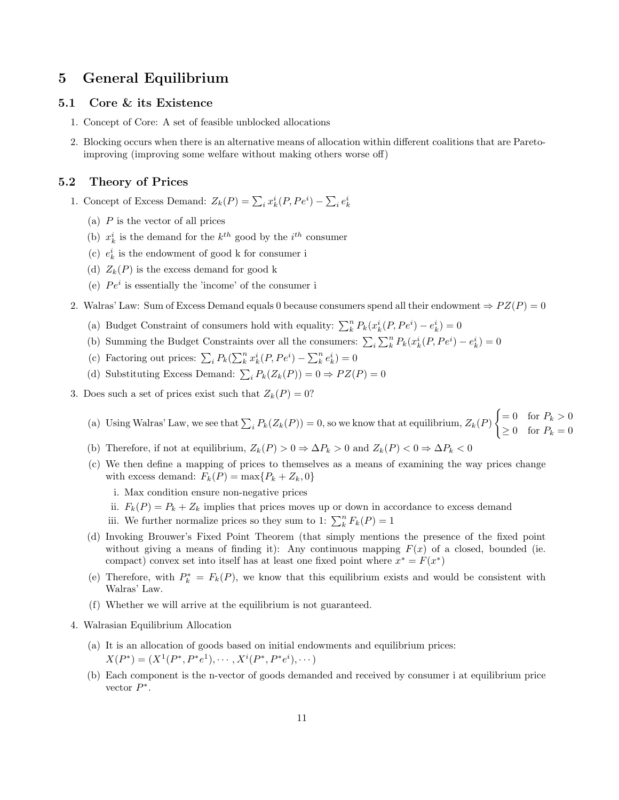# 5 General Equilibrium

#### 5.1 Core & its Existence

- 1. Concept of Core: A set of feasible unblocked allocations
- 2. Blocking occurs when there is an alternative means of allocation within different coalitions that are Paretoimproving (improving some welfare without making others worse off)

#### 5.2 Theory of Prices

- 1. Concept of Excess Demand:  $Z_k(P) = \sum_i x_k^i(P, Pe^i) \sum_i e_k^i$ 
	- (a)  $P$  is the vector of all prices
	- (b)  $x_k^i$  is the demand for the  $k^{th}$  good by the  $i^{th}$  consumer
	- (c)  $\,e^i_k\,$  is the endowment of good k for consumer i
	- (d)  $Z_k(P)$  is the excess demand for good k
	- (e)  $Pe<sup>i</sup>$  is essentially the 'income' of the consumer i
- 2. Walras' Law: Sum of Excess Demand equals 0 because consumers spend all their endowment  $\Rightarrow PZ(P) = 0$ 
	- (a) Budget Constraint of consumers hold with equality:  $\sum_{k}^{n} P_k(x_k^i(P, Pe^i) e_k^i) = 0$
	- (b) Summing the Budget Constraints over all the consumers:  $\sum_i \sum_k^n P_k(x_k^i(P, Pe^i) e_k^i) = 0$
	- (c) Factoring out prices:  $\sum_i P_k(\sum_k^n x_k^i(P, Pe^i) \sum_k^n e_k^i) = 0$
	- (d) Substituting Excess Demand:  $\sum_i P_k(Z_k(P)) = 0 \Rightarrow PZ(P) = 0$
- 3. Does such a set of prices exist such that  $Z_k(P) = 0$ ?
	- (a) Using Walras' Law, we see that  $\sum_i P_k(Z_k(P)) = 0$ , so we know that at equilibrium,  $Z_k(P)$  $\int = 0 \quad \text{for } P_k > 0$  $\geq 0$  for  $P_k = 0$
	- (b) Therefore, if not at equilibrium,  $Z_k(P) > 0 \Rightarrow \Delta P_k > 0$  and  $Z_k(P) < 0 \Rightarrow \Delta P_k < 0$
	- (c) We then define a mapping of prices to themselves as a means of examining the way prices change with excess demand:  $F_k(P) = \max\{P_k + Z_k, 0\}$ 
		- i. Max condition ensure non-negative prices
		- ii.  $F_k(P) = P_k + Z_k$  implies that prices moves up or down in accordance to excess demand
		- iii. We further normalize prices so they sum to 1:  $\sum_{k}^{n} F_{k}(P) = 1$
	- (d) Invoking Brouwer's Fixed Point Theorem (that simply mentions the presence of the fixed point without giving a means of finding it): Any continuous mapping  $F(x)$  of a closed, bounded (ie. compact) convex set into itself has at least one fixed point where  $x^* = F(x^*)$
	- (e) Therefore, with  $P_k^* = F_k(P)$ , we know that this equilibrium exists and would be consistent with Walras' Law.
	- (f) Whether we will arrive at the equilibrium is not guaranteed.
- 4. Walrasian Equilibrium Allocation
	- (a) It is an allocation of goods based on initial endowments and equilibrium prices:  $X(P^*) = (X^1(P^*, P^*e^1), \cdots, X^i(P^*, P^*e^i), \cdots)$
	- (b) Each component is the n-vector of goods demanded and received by consumer i at equilibrium price vector  $P^*$ .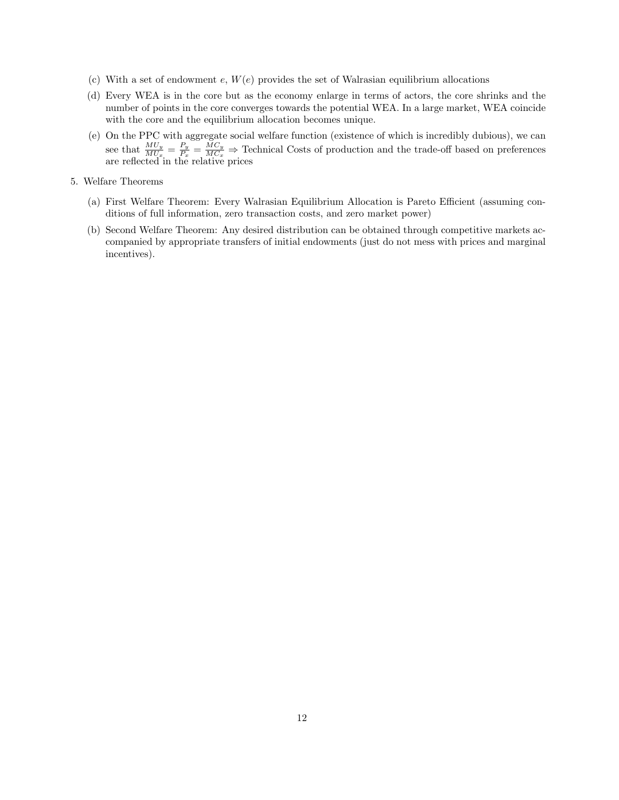- (c) With a set of endowment e,  $W(e)$  provides the set of Walrasian equilibrium allocations
- (d) Every WEA is in the core but as the economy enlarge in terms of actors, the core shrinks and the number of points in the core converges towards the potential WEA. In a large market, WEA coincide with the core and the equilibrium allocation becomes unique.
- (e) On the PPC with aggregate social welfare function (existence of which is incredibly dubious), we can see that  $\frac{MU_y}{MU_x} = \frac{P_y}{P_x}$  $\frac{P_y}{P_x} = \frac{MC_y}{MC_x}$   $\Rightarrow$  Technical Costs of production and the trade-off based on preferences are reflected in the relative prices
- 5. Welfare Theorems
	- (a) First Welfare Theorem: Every Walrasian Equilibrium Allocation is Pareto Efficient (assuming conditions of full information, zero transaction costs, and zero market power)
	- (b) Second Welfare Theorem: Any desired distribution can be obtained through competitive markets accompanied by appropriate transfers of initial endowments (just do not mess with prices and marginal incentives).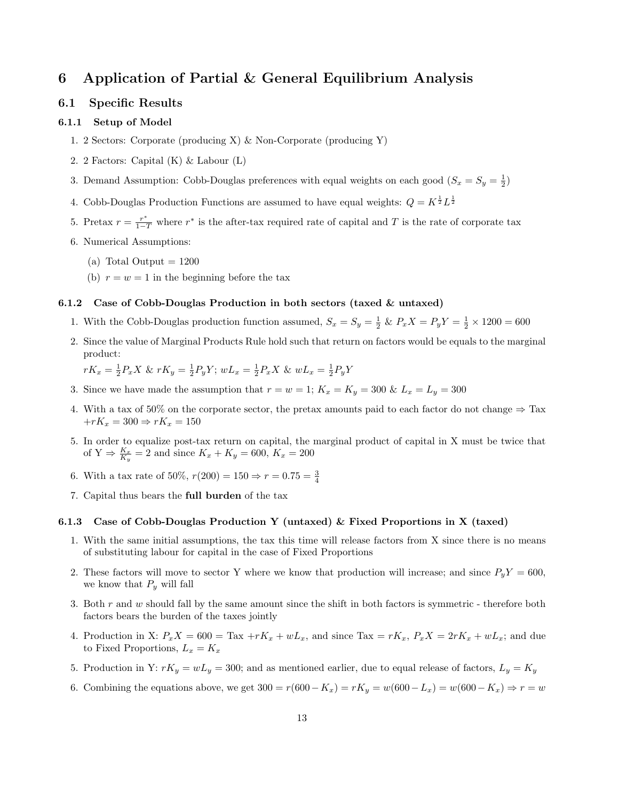# 6 Application of Partial & General Equilibrium Analysis

#### 6.1 Specific Results

#### 6.1.1 Setup of Model

- 1. 2 Sectors: Corporate (producing X) & Non-Corporate (producing Y)
- 2. 2 Factors: Capital (K) & Labour (L)
- 3. Demand Assumption: Cobb-Douglas preferences with equal weights on each good  $(S_x = S_y = \frac{1}{2})$
- 4. Cobb-Douglas Production Functions are assumed to have equal weights:  $Q = K^{\frac{1}{2}} L^{\frac{1}{2}}$
- 5. Pretax  $r = \frac{r^*}{1-T}$  where  $r^*$  is the after-tax required rate of capital and T is the rate of corporate tax
- 6. Numerical Assumptions:
	- (a) Total Output  $= 1200$
	- (b)  $r = w = 1$  in the beginning before the tax

#### 6.1.2 Case of Cobb-Douglas Production in both sectors (taxed & untaxed)

- 1. With the Cobb-Douglas production function assumed,  $S_x = S_y = \frac{1}{2} \& P_x X = P_y Y = \frac{1}{2} \times 1200 = 600$
- 2. Since the value of Marginal Products Rule hold such that return on factors would be equals to the marginal product:

$$
rK_x = \frac{1}{2}P_x X \& rK_y = \frac{1}{2}P_y Y; wL_x = \frac{1}{2}P_x X \& wL_x = \frac{1}{2}P_y Y
$$

- 3. Since we have made the assumption that  $r = w = 1$ ;  $K_x = K_y = 300 \& L_x = L_y = 300$
- 4. With a tax of 50% on the corporate sector, the pretax amounts paid to each factor do not change  $\Rightarrow$  Tax  $+rK_x = 300 \Rightarrow rK_x = 150$
- 5. In order to equalize post-tax return on capital, the marginal product of capital in X must be twice that of  $Y \Rightarrow \frac{K_x}{K_y} = 2$  and since  $K_x + K_y = 600, K_x = 200$
- 6. With a tax rate of 50%,  $r(200) = 150 \Rightarrow r = 0.75 = \frac{3}{4}$
- 7. Capital thus bears the full burden of the tax

#### 6.1.3 Case of Cobb-Douglas Production Y (untaxed) & Fixed Proportions in X (taxed)

- 1. With the same initial assumptions, the tax this time will release factors from X since there is no means of substituting labour for capital in the case of Fixed Proportions
- 2. These factors will move to sector Y where we know that production will increase; and since  $P_yY = 600$ , we know that  $P_y$  will fall
- 3. Both  $r$  and  $w$  should fall by the same amount since the shift in both factors is symmetric therefore both factors bears the burden of the taxes jointly
- 4. Production in X:  $P_xX = 600 = \text{Tax} + rK_x + wL_x$ , and since  $\text{Tax} = rK_x$ ,  $P_xX = 2rK_x + wL_x$ ; and due to Fixed Proportions,  $L_x = K_x$
- 5. Production in Y:  $rK_y = wL_y = 300$ ; and as mentioned earlier, due to equal release of factors,  $L_y = K_y$
- 6. Combining the equations above, we get  $300 = r(600 K_x) = rK_y = w(600 L_x) = w(600 K_x) \Rightarrow r = w$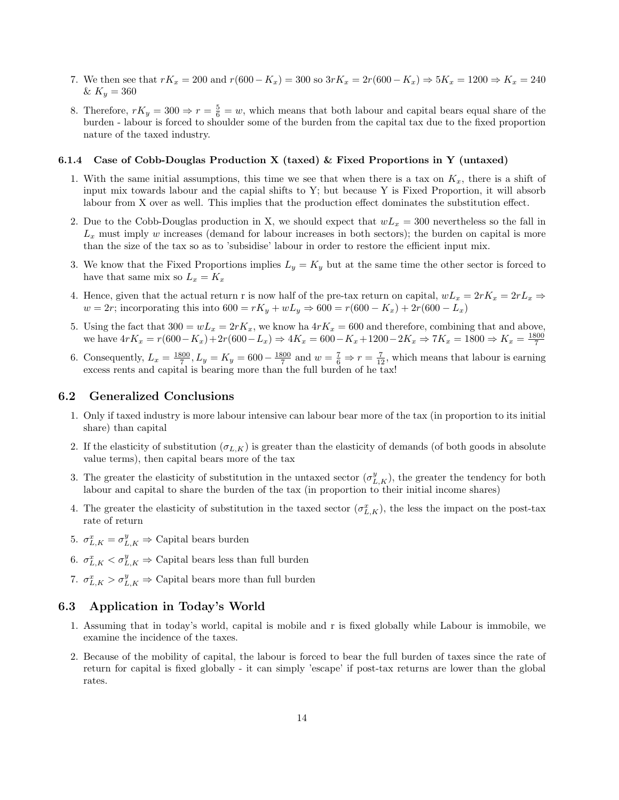- 7. We then see that  $rK_x = 200$  and  $r(600 K_x) = 300$  so  $3rK_x = 2r(600 K_x) \Rightarrow 5K_x = 1200 \Rightarrow K_x = 240$ &  $K_y = 360$
- 8. Therefore,  $rK_y = 300 \Rightarrow r = \frac{5}{6} = w$ , which means that both labour and capital bears equal share of the burden - labour is forced to shoulder some of the burden from the capital tax due to the fixed proportion nature of the taxed industry.

# 6.1.4 Case of Cobb-Douglas Production X (taxed) & Fixed Proportions in Y (untaxed)

- 1. With the same initial assumptions, this time we see that when there is a tax on  $K_x$ , there is a shift of input mix towards labour and the capial shifts to Y; but because Y is Fixed Proportion, it will absorb labour from X over as well. This implies that the production effect dominates the substitution effect.
- 2. Due to the Cobb-Douglas production in X, we should expect that  $wL_x = 300$  nevertheless so the fall in  $L_x$  must imply w increases (demand for labour increases in both sectors); the burden on capital is more than the size of the tax so as to 'subsidise' labour in order to restore the efficient input mix.
- 3. We know that the Fixed Proportions implies  $L_y = K_y$  but at the same time the other sector is forced to have that same mix so  $L_x = K_x$
- 4. Hence, given that the actual return r is now half of the pre-tax return on capital,  $wL_x = 2rK_x = 2rL_x \Rightarrow$  $w = 2r$ ; incorporating this into  $600 = rK_y + wL_y \Rightarrow 600 = r(600 - K_x) + 2r(600 - L_x)$
- 5. Using the fact that  $300 = wL_x = 2rK_x$ , we know ha  $4rK_x = 600$  and therefore, combining that and above, we have  $4rK_x = r(600 - K_x) + 2r(600 - L_x) \Rightarrow 4K_x = 600 - K_x + 1200 - 2K_x \Rightarrow 7K_x = 1800 \Rightarrow K_x = \frac{1800}{7}$
- 6. Consequently,  $L_x = \frac{1800}{7}$ ,  $L_y = K_y = 600 \frac{1800}{7}$  and  $w = \frac{7}{6} \Rightarrow r = \frac{7}{12}$ , which means that labour is earning excess rents and capital is bearing more than the full burden of he tax!

#### 6.2 Generalized Conclusions

- 1. Only if taxed industry is more labour intensive can labour bear more of the tax (in proportion to its initial share) than capital
- 2. If the elasticity of substitution  $(\sigma_{L,K})$  is greater than the elasticity of demands (of both goods in absolute value terms), then capital bears more of the tax
- 3. The greater the elasticity of substitution in the untaxed sector  $(\sigma_{L,K}^y)$ , the greater the tendency for both labour and capital to share the burden of the tax (in proportion to their initial income shares)
- 4. The greater the elasticity of substitution in the taxed sector  $(\sigma_{L,K}^x)$ , the less the impact on the post-tax rate of return
- 5.  $\sigma_{L,K}^x = \sigma_{L,K}^y \Rightarrow$  Capital bears burden
- 6.  $\sigma_{L,K}^x < \sigma_{L,K}^y \Rightarrow$  Capital bears less than full burden
- 7.  $\sigma_{L,K}^x > \sigma_{L,K}^y \Rightarrow$  Capital bears more than full burden

#### 6.3 Application in Today's World

- 1. Assuming that in today's world, capital is mobile and r is fixed globally while Labour is immobile, we examine the incidence of the taxes.
- 2. Because of the mobility of capital, the labour is forced to bear the full burden of taxes since the rate of return for capital is fixed globally - it can simply 'escape' if post-tax returns are lower than the global rates.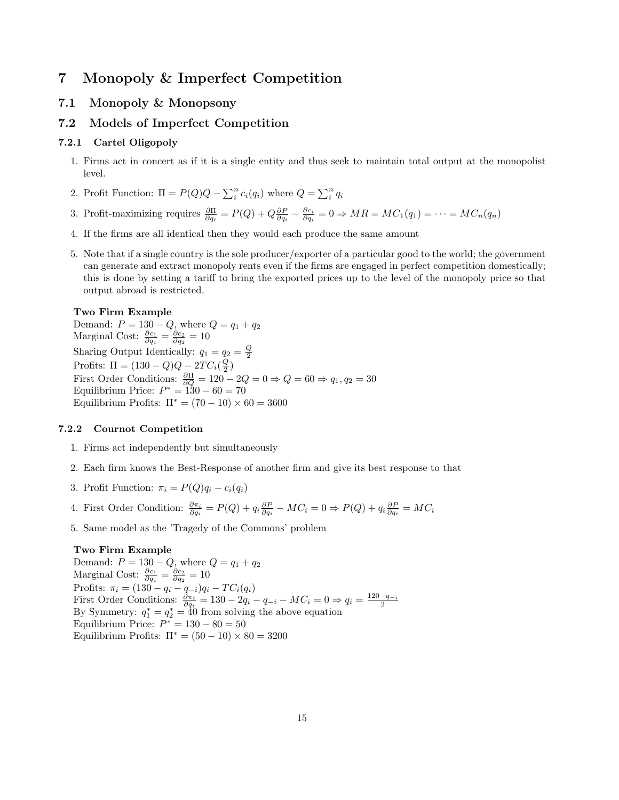# 7 Monopoly & Imperfect Competition

### 7.1 Monopoly & Monopsony

### 7.2 Models of Imperfect Competition

#### 7.2.1 Cartel Oligopoly

- 1. Firms act in concert as if it is a single entity and thus seek to maintain total output at the monopolist level.
- 2. Profit Function:  $\Pi = P(Q)Q \sum_i^n c_i(q_i)$  where  $Q = \sum_i^n q_i$
- 3. Profit-maximizing requires  $\frac{\partial \Pi}{\partial q_i} = P(Q) + Q \frac{\partial P}{\partial q_i} \frac{\partial c_i}{\partial q_i} = 0 \Rightarrow MR = MC_1(q_1) = \cdots = MC_n(q_n)$
- 4. If the firms are all identical then they would each produce the same amount
- 5. Note that if a single country is the sole producer/exporter of a particular good to the world; the government can generate and extract monopoly rents even if the firms are engaged in perfect competition domestically; this is done by setting a tariff to bring the exported prices up to the level of the monopoly price so that output abroad is restricted.

#### Two Firm Example

Demand:  $P = 130 - Q$ , where  $Q = q_1 + q_2$ Marginal Cost:  $\frac{\partial c_1}{\partial q_1} = \frac{\partial c_2}{\partial q_2} = 10$ Sharing Output Identically:  $q_1 = q_2 = \frac{Q}{2}$ Profits:  $\Pi = (130 - Q)Q - 2TC_i(\frac{Q}{2})$ First Order Conditions:  $\frac{\partial \Pi}{\partial Q} = 120 - 2Q = 0 \Rightarrow Q = 60 \Rightarrow q_1, q_2 = 30$ Equilibrium Price:  $P^* = 130 - 60 = 70$ Equilibrium Profits:  $\Pi^* = (70 - 10) \times 60 = 3600$ 

#### 7.2.2 Cournot Competition

- 1. Firms act independently but simultaneously
- 2. Each firm knows the Best-Response of another firm and give its best response to that
- 3. Profit Function:  $\pi_i = P(Q)q_i c_i(q_i)$
- 4. First Order Condition:  $\frac{\partial \pi_i}{\partial q_i} = P(Q) + q_i \frac{\partial P}{\partial q_i} MC_i = 0 \Rightarrow P(Q) + q_i \frac{\partial P}{\partial q_i} = MC_i$
- 5. Same model as the 'Tragedy of the Commons' problem

#### Two Firm Example

Demand:  $P = 130 - Q$ , where  $Q = q_1 + q_2$ Marginal Cost:  $\frac{\partial c_1}{\partial q_1} = \frac{\partial c_2}{\partial q_2} = 10$ Profits:  $\pi_i = (130 - q_i - q_{-i})q_i - TC_i(q_i)$ First Order Conditions:  $\frac{\partial \pi_i}{\partial q_i} = 130 - 2q_i - q_{-i} - MC_i = 0 \Rightarrow q_i = \frac{120 - q_{-i}}{2}$ <br>By Symmetry:  $q_1^* = q_2^* = 40$  from solving the above equation Equilibrium Price:  $P^* = 130 - 80 = 50$ Equilibrium Profits:  $\Pi^* = (50 - 10) \times 80 = 3200$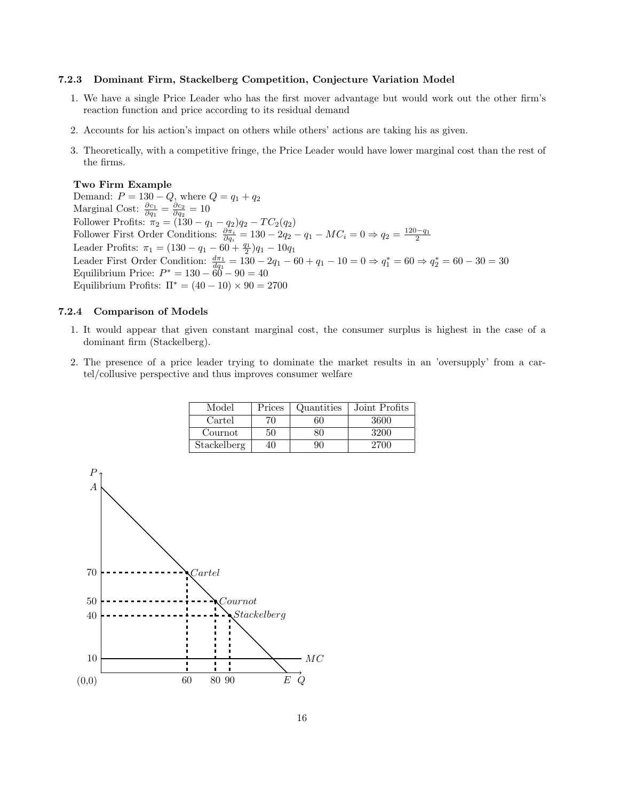#### 7.2.3 Dominant Firm, Stackelberg Competition, Conjecture Variation Model

- 1. We have a single Price Leader who has the first mover advantage but would work out the other firm's reaction function and price according to its residual demand
- 2. Accounts for his action's impact on others while others' actions are taking his as given.
- 3. Theoretically, with a competitive fringe, the Price Leader would have lower marginal cost than the rest of the firms.

#### Two Firm Example

Demand:  $P = 130 - Q$ , where  $Q = q_1 + q_2$ Marginal Cost:  $\frac{\partial c_1}{\partial q_1} = \frac{\partial c_2}{\partial q_2} = 10$ Follower Profits:  $\pi_2 = (130 - q_1 - q_2)q_2 - TC_2(q_2)$ Follower First Order Conditions:  $\frac{\partial \pi_i}{\partial q_i} = 130 - 2q_2 - q_1 - MC_i = 0 \Rightarrow q_2 = \frac{120 - q_1}{2}$ <br>Leader Profits:  $\pi_1 = (130 - q_1 - 60 + \frac{q_1}{2})q_1 - 10q_1$ Leader First Order Condition:  $\frac{d\pi_1}{dq_1} = 130 - 2q_1 - 60 + q_1 - 10 = 0 \Rightarrow q_1^* = 60 \Rightarrow q_2^* = 60 - 30 = 30$ Equilibrium Price:  $P^* = 130 - 60 - 90 = 40$ Equilibrium Profits:  $\Pi^* = (40 - 10) \times 90 = 2700$ 

#### 7.2.4 Comparison of Models

- 1. It would appear that given constant marginal cost, the consumer surplus is highest in the case of a dominant firm (Stackelberg).
- 2. The presence of a price leader trying to dominate the market results in an 'oversupply' from a cartel/collusive perspective and thus improves consumer welfare

| Model       | Prices | Quantities | Joint Profits |
|-------------|--------|------------|---------------|
| Cartel      | 70     | 60         | 3600          |
| Cournot     | 50     | ຊດ         | 3200          |
| Stackelberg | 40     | 90         | 2700          |

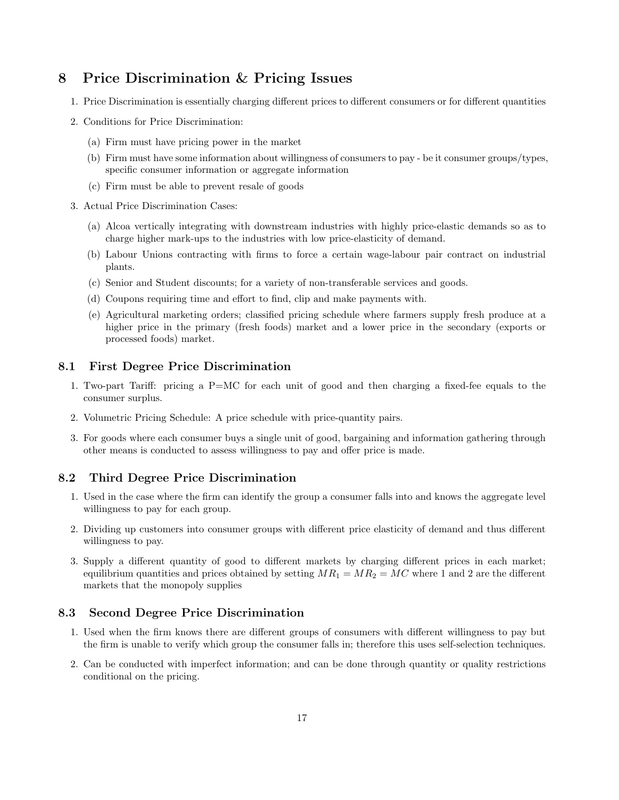# 8 Price Discrimination & Pricing Issues

- 1. Price Discrimination is essentially charging different prices to different consumers or for different quantities
- 2. Conditions for Price Discrimination:
	- (a) Firm must have pricing power in the market
	- (b) Firm must have some information about willingness of consumers to pay be it consumer groups/types, specific consumer information or aggregate information
	- (c) Firm must be able to prevent resale of goods
- 3. Actual Price Discrimination Cases:
	- (a) Alcoa vertically integrating with downstream industries with highly price-elastic demands so as to charge higher mark-ups to the industries with low price-elasticity of demand.
	- (b) Labour Unions contracting with firms to force a certain wage-labour pair contract on industrial plants.
	- (c) Senior and Student discounts; for a variety of non-transferable services and goods.
	- (d) Coupons requiring time and effort to find, clip and make payments with.
	- (e) Agricultural marketing orders; classified pricing schedule where farmers supply fresh produce at a higher price in the primary (fresh foods) market and a lower price in the secondary (exports or processed foods) market.

#### 8.1 First Degree Price Discrimination

- 1. Two-part Tariff: pricing a P=MC for each unit of good and then charging a fixed-fee equals to the consumer surplus.
- 2. Volumetric Pricing Schedule: A price schedule with price-quantity pairs.
- 3. For goods where each consumer buys a single unit of good, bargaining and information gathering through other means is conducted to assess willingness to pay and offer price is made.

### 8.2 Third Degree Price Discrimination

- 1. Used in the case where the firm can identify the group a consumer falls into and knows the aggregate level willingness to pay for each group.
- 2. Dividing up customers into consumer groups with different price elasticity of demand and thus different willingness to pay.
- 3. Supply a different quantity of good to different markets by charging different prices in each market; equilibrium quantities and prices obtained by setting  $MR_1 = MR_2 = MC$  where 1 and 2 are the different markets that the monopoly supplies

#### 8.3 Second Degree Price Discrimination

- 1. Used when the firm knows there are different groups of consumers with different willingness to pay but the firm is unable to verify which group the consumer falls in; therefore this uses self-selection techniques.
- 2. Can be conducted with imperfect information; and can be done through quantity or quality restrictions conditional on the pricing.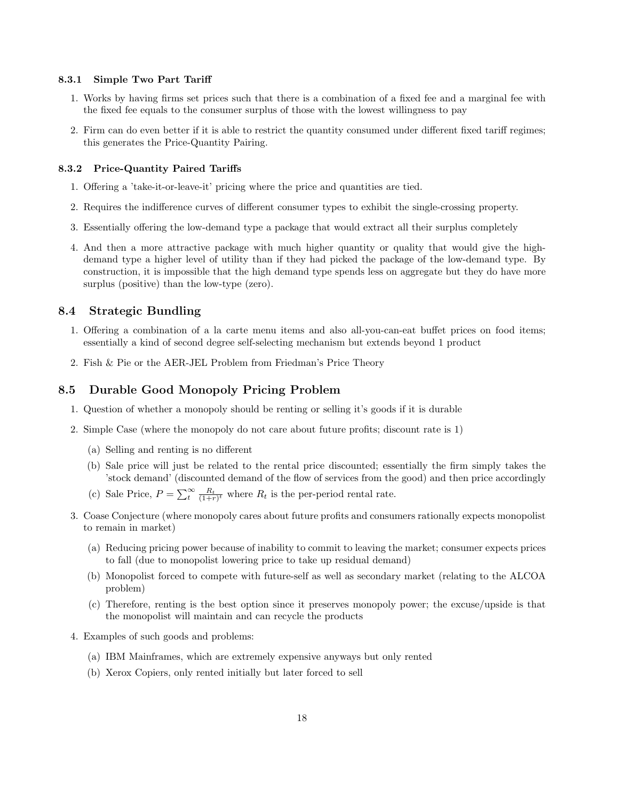#### 8.3.1 Simple Two Part Tariff

- 1. Works by having firms set prices such that there is a combination of a fixed fee and a marginal fee with the fixed fee equals to the consumer surplus of those with the lowest willingness to pay
- 2. Firm can do even better if it is able to restrict the quantity consumed under different fixed tariff regimes; this generates the Price-Quantity Pairing.

#### 8.3.2 Price-Quantity Paired Tariffs

- 1. Offering a 'take-it-or-leave-it' pricing where the price and quantities are tied.
- 2. Requires the indifference curves of different consumer types to exhibit the single-crossing property.
- 3. Essentially offering the low-demand type a package that would extract all their surplus completely
- 4. And then a more attractive package with much higher quantity or quality that would give the highdemand type a higher level of utility than if they had picked the package of the low-demand type. By construction, it is impossible that the high demand type spends less on aggregate but they do have more surplus (positive) than the low-type (zero).

#### 8.4 Strategic Bundling

- 1. Offering a combination of a la carte menu items and also all-you-can-eat buffet prices on food items; essentially a kind of second degree self-selecting mechanism but extends beyond 1 product
- 2. Fish & Pie or the AER-JEL Problem from Friedman's Price Theory

#### 8.5 Durable Good Monopoly Pricing Problem

- 1. Question of whether a monopoly should be renting or selling it's goods if it is durable
- 2. Simple Case (where the monopoly do not care about future profits; discount rate is 1)
	- (a) Selling and renting is no different
	- (b) Sale price will just be related to the rental price discounted; essentially the firm simply takes the 'stock demand' (discounted demand of the flow of services from the good) and then price accordingly
	- (c) Sale Price,  $P = \sum_{t=1}^{\infty} \frac{R_t}{(1+r)^t}$  where  $R_t$  is the per-period rental rate.
- 3. Coase Conjecture (where monopoly cares about future profits and consumers rationally expects monopolist to remain in market)
	- (a) Reducing pricing power because of inability to commit to leaving the market; consumer expects prices to fall (due to monopolist lowering price to take up residual demand)
	- (b) Monopolist forced to compete with future-self as well as secondary market (relating to the ALCOA problem)
	- (c) Therefore, renting is the best option since it preserves monopoly power; the excuse/upside is that the monopolist will maintain and can recycle the products
- 4. Examples of such goods and problems:
	- (a) IBM Mainframes, which are extremely expensive anyways but only rented
	- (b) Xerox Copiers, only rented initially but later forced to sell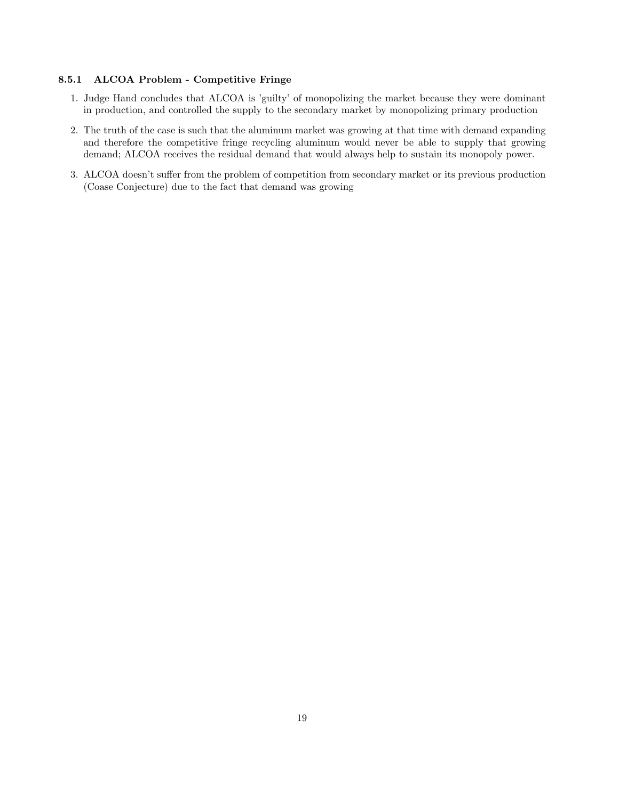#### 8.5.1 ALCOA Problem - Competitive Fringe

- 1. Judge Hand concludes that ALCOA is 'guilty' of monopolizing the market because they were dominant in production, and controlled the supply to the secondary market by monopolizing primary production
- 2. The truth of the case is such that the aluminum market was growing at that time with demand expanding and therefore the competitive fringe recycling aluminum would never be able to supply that growing demand; ALCOA receives the residual demand that would always help to sustain its monopoly power.
- 3. ALCOA doesn't suffer from the problem of competition from secondary market or its previous production (Coase Conjecture) due to the fact that demand was growing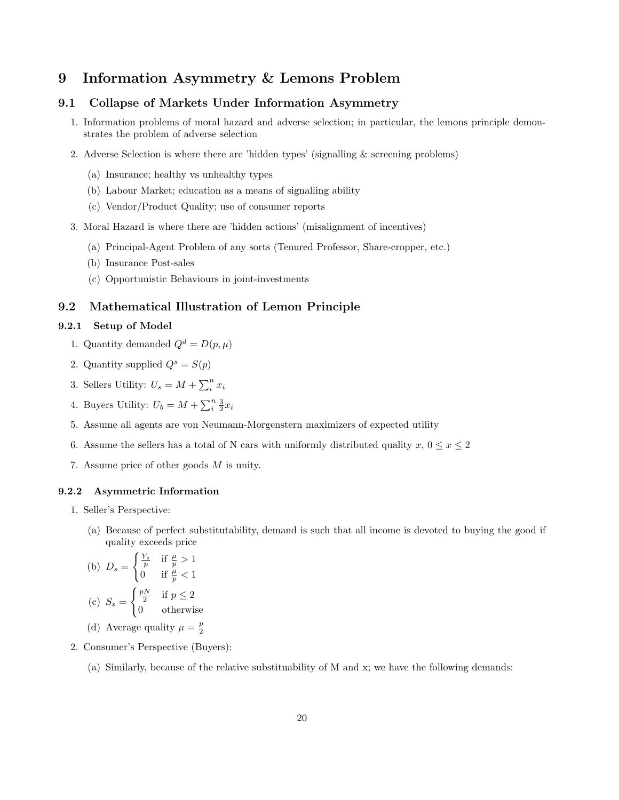# 9 Information Asymmetry & Lemons Problem

# 9.1 Collapse of Markets Under Information Asymmetry

- 1. Information problems of moral hazard and adverse selection; in particular, the lemons principle demonstrates the problem of adverse selection
- 2. Adverse Selection is where there are 'hidden types' (signalling & screening problems)
	- (a) Insurance; healthy vs unhealthy types
	- (b) Labour Market; education as a means of signalling ability
	- (c) Vendor/Product Quality; use of consumer reports
- 3. Moral Hazard is where there are 'hidden actions' (misalignment of incentives)
	- (a) Principal-Agent Problem of any sorts (Tenured Professor, Share-cropper, etc.)
	- (b) Insurance Post-sales
	- (c) Opportunistic Behaviours in joint-investments

#### 9.2 Mathematical Illustration of Lemon Principle

#### 9.2.1 Setup of Model

- 1. Quantity demanded  $Q^d = D(p, \mu)$
- 2. Quantity supplied  $Q^s = S(p)$
- 3. Sellers Utility:  $U_s = M + \sum_i^n x_i$
- 4. Buyers Utility:  $U_b = M + \sum_{i=2}^{n} x_i$
- 5. Assume all agents are von Neumann-Morgenstern maximizers of expected utility
- 6. Assume the sellers has a total of N cars with uniformly distributed quality  $x, 0 \le x \le 2$
- 7. Assume price of other goods M is unity.

#### 9.2.2 Asymmetric Information

- 1. Seller's Perspective:
	- (a) Because of perfect substitutability, demand is such that all income is devoted to buying the good if quality exceeds price

(b) 
$$
D_s = \begin{cases} \frac{Y_s}{p} & \text{if } \frac{\mu}{p} > 1\\ 0 & \text{if } \frac{\mu}{p} < 1 \end{cases}
$$
  
(c) 
$$
S_s = \begin{cases} \frac{pN}{2} & \text{if } p \le 2\\ 0 & \text{otherwise} \end{cases}
$$

- (d) Average quality  $\mu = \frac{p}{2}$
- 2. Consumer's Perspective (Buyers):
	- (a) Similarly, because of the relative substituability of M and x; we have the following demands: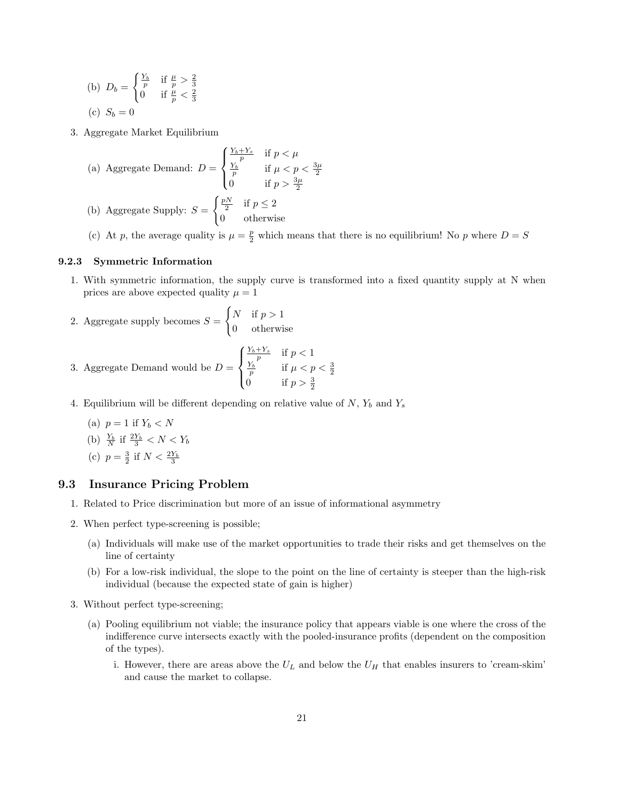(b) 
$$
D_b = \begin{cases} \frac{Y_b}{p} & \text{if } \frac{\mu}{p} > \frac{2}{3} \\ 0 & \text{if } \frac{\mu}{p} < \frac{2}{3} \end{cases}
$$
  
(c)  $S_b = 0$ 

3. Aggregate Market Equilibrium

(a) Aggregate Demand: 
$$
D = \begin{cases} \frac{Y_b + Y_s}{p} & \text{if } p < \mu \\ \frac{Y_b}{p} & \text{if } \mu < p < \frac{3\mu}{2} \\ 0 & \text{if } p > \frac{3\mu}{2} \end{cases}
$$
  
(b) Aggregate Supply: 
$$
S = \begin{cases} \frac{pN}{2} & \text{if } p \le 2 \\ 0 & \text{otherwise} \end{cases}
$$

(c) At p, the average quality is  $\mu = \frac{p}{2}$  which means that there is no equilibrium! No p where  $D = S$ 

#### 9.2.3 Symmetric Information

- 1. With symmetric information, the supply curve is transformed into a fixed quantity supply at N when prices are above expected quality  $\mu = 1$
- 2. Aggregate supply becomes  $S =$  $\int N$  if  $p > 1$ 0 otherwise

3. Aggregate Demand would be 
$$
D = \begin{cases} \frac{Y_b + Y_s}{p} & \text{if } p < 1\\ \frac{Y_b}{p} & \text{if } \mu < p < \frac{3}{2}\\ 0 & \text{if } p > \frac{3}{2} \end{cases}
$$

4. Equilibrium will be different depending on relative value of  $N$ ,  $Y_b$  and  $Y_s$ 

(a) 
$$
p = 1
$$
 if  $Y_b < N$   
\n(b)  $\frac{Y_b}{N}$  if  $\frac{2Y_b}{3} < N < Y_b$   
\n(c)  $p = \frac{3}{2}$  if  $N < \frac{2Y_b}{3}$ 

#### 9.3 Insurance Pricing Problem

- 1. Related to Price discrimination but more of an issue of informational asymmetry
- 2. When perfect type-screening is possible;
	- (a) Individuals will make use of the market opportunities to trade their risks and get themselves on the line of certainty
	- (b) For a low-risk individual, the slope to the point on the line of certainty is steeper than the high-risk individual (because the expected state of gain is higher)
- 3. Without perfect type-screening;
	- (a) Pooling equilibrium not viable; the insurance policy that appears viable is one where the cross of the indifference curve intersects exactly with the pooled-insurance profits (dependent on the composition of the types).
		- i. However, there are areas above the  $U_L$  and below the  $U_H$  that enables insurers to 'cream-skim' and cause the market to collapse.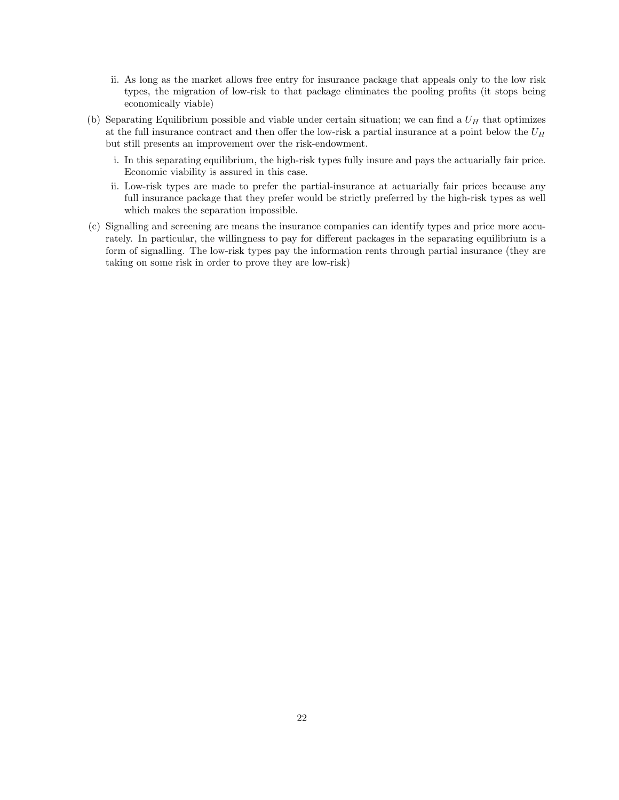- ii. As long as the market allows free entry for insurance package that appeals only to the low risk types, the migration of low-risk to that package eliminates the pooling profits (it stops being economically viable)
- (b) Separating Equilibrium possible and viable under certain situation; we can find a  $U_H$  that optimizes at the full insurance contract and then offer the low-risk a partial insurance at a point below the  $U_H$ but still presents an improvement over the risk-endowment.
	- i. In this separating equilibrium, the high-risk types fully insure and pays the actuarially fair price. Economic viability is assured in this case.
	- ii. Low-risk types are made to prefer the partial-insurance at actuarially fair prices because any full insurance package that they prefer would be strictly preferred by the high-risk types as well which makes the separation impossible.
- (c) Signalling and screening are means the insurance companies can identify types and price more accurately. In particular, the willingness to pay for different packages in the separating equilibrium is a form of signalling. The low-risk types pay the information rents through partial insurance (they are taking on some risk in order to prove they are low-risk)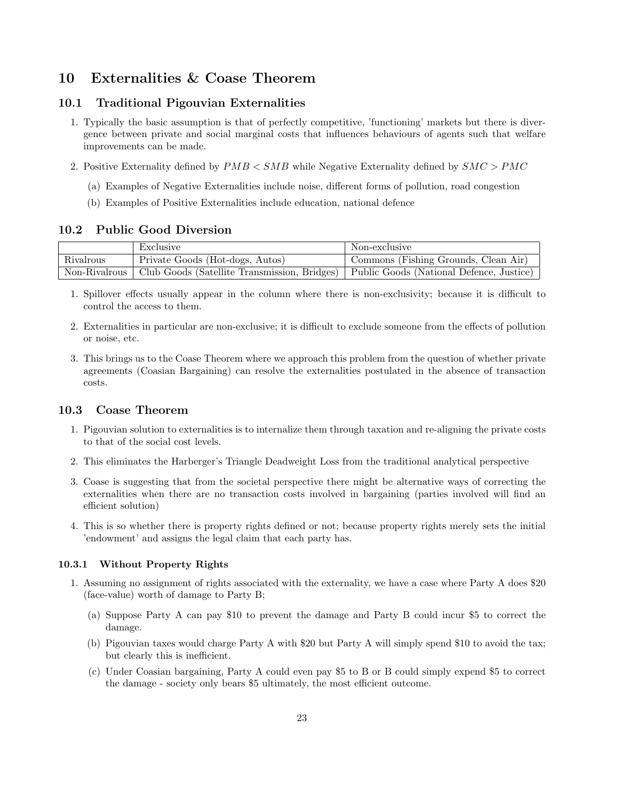# 10 Externalities & Coase Theorem

#### 10.1 Traditional Pigouvian Externalities

- 1. Typically the basic assumption is that of perfectly competitive, 'functioning' markets but there is divergence between private and social marginal costs that influences behaviours of agents such that welfare improvements can be made.
- 2. Positive Externality defined by PMB < SMB while Negative Externality defined by SMC > PMC
	- (a) Examples of Negative Externalities include noise, different forms of pollution, road congestion
	- (b) Examples of Positive Externalities include education, national defence

### 10.2 Public Good Diversion

|               | Exclusive                                                                               | Non-exclusive                        |
|---------------|-----------------------------------------------------------------------------------------|--------------------------------------|
| Rivalrous     | Private Goods (Hot-dogs, Autos)                                                         | Commons (Fishing Grounds, Clean Air) |
| Non-Rivalrous | Club Goods (Satellite Transmission, Bridges)   Public Goods (National Defence, Justice) |                                      |

- 1. Spillover effects usually appear in the column where there is non-exclusivity; because it is difficult to control the access to them.
- 2. Externalities in particular are non-exclusive; it is difficult to exclude someone from the effects of pollution or noise, etc.
- 3. This brings us to the Coase Theorem where we approach this problem from the question of whether private agreements (Coasian Bargaining) can resolve the externalities postulated in the absence of transaction costs.

# 10.3 Coase Theorem

- 1. Pigouvian solution to externalities is to internalize them through taxation and re-aligning the private costs to that of the social cost levels.
- 2. This eliminates the Harberger's Triangle Deadweight Loss from the traditional analytical perspective
- 3. Coase is suggesting that from the societal perspective there might be alternative ways of correcting the externalities when there are no transaction costs involved in bargaining (parties involved will find an efficient solution)
- 4. This is so whether there is property rights defined or not; because property rights merely sets the initial 'endowment' and assigns the legal claim that each party has.

#### 10.3.1 Without Property Rights

- 1. Assuming no assignment of rights associated with the externality, we have a case where Party A does \$20 (face-value) worth of damage to Party B;
	- (a) Suppose Party A can pay \$10 to prevent the damage and Party B could incur \$5 to correct the damage.
	- (b) Pigouvian taxes would charge Party A with \$20 but Party A will simply spend \$10 to avoid the tax; but clearly this is inefficient.
	- (c) Under Coasian bargaining, Party A could even pay \$5 to B or B could simply expend \$5 to correct the damage - society only bears \$5 ultimately, the most efficient outcome.